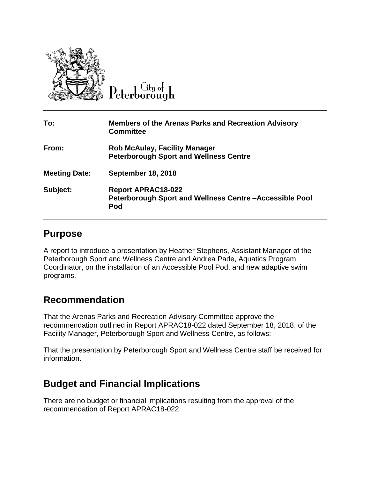

Litu ot

| To:                  | <b>Members of the Arenas Parks and Recreation Advisory</b><br><b>Committee</b>             |
|----------------------|--------------------------------------------------------------------------------------------|
| From:                | <b>Rob McAulay, Facility Manager</b><br><b>Peterborough Sport and Wellness Centre</b>      |
| <b>Meeting Date:</b> | <b>September 18, 2018</b>                                                                  |
| Subject:             | <b>Report APRAC18-022</b><br>Peterborough Sport and Wellness Centre-Accessible Pool<br>Pod |

## **Purpose**

A report to introduce a presentation by Heather Stephens, Assistant Manager of the Peterborough Sport and Wellness Centre and Andrea Pade, Aquatics Program Coordinator, on the installation of an Accessible Pool Pod, and new adaptive swim programs.

## **Recommendation**

That the Arenas Parks and Recreation Advisory Committee approve the recommendation outlined in Report APRAC18-022 dated September 18, 2018, of the Facility Manager, Peterborough Sport and Wellness Centre, as follows:

That the presentation by Peterborough Sport and Wellness Centre staff be received for information.

## **Budget and Financial Implications**

There are no budget or financial implications resulting from the approval of the recommendation of Report APRAC18-022.